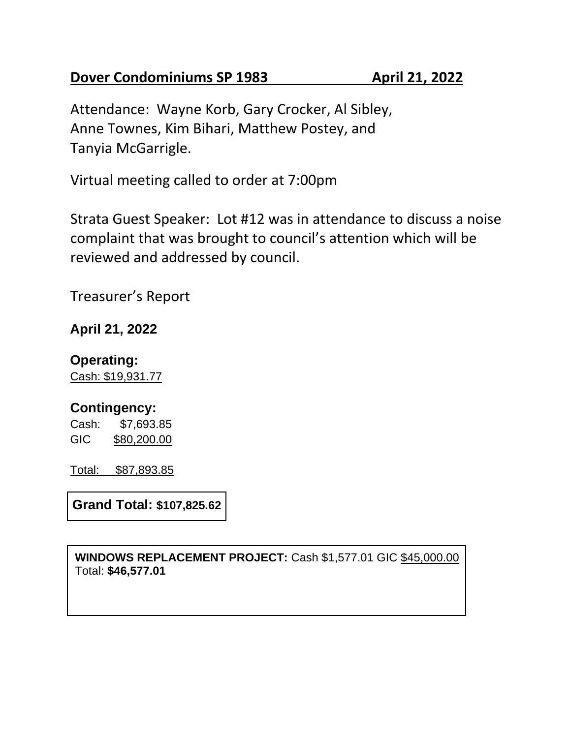## **Dover Condominiums SP 1983 April 21, 2022**

Attendance: Wayne Korb, Gary Crocker, Al Sibley, Anne Townes, Kim Bihari, Matthew Postey, and Tanyia McGarrigle.

Virtual meeting called to order at 7:00pm

Strata Guest Speaker: Lot #12 was in attendance to discuss a noise complaint that was brought to council's attention which will be reviewed and addressed by council.

Treasurer's Report

## **April 21, 2022**

### **Operating:**

Cash: \$19,931.77

## **Contingency:**

Cash: \$7,693.85 GIC \$80,200.00

Total: \$87,893.85

**Grand Total: \$107,825.62**

**WINDOWS REPLACEMENT PROJECT:** Cash \$1,577.01 GIC \$45,000.00 Total: **\$46,577.01**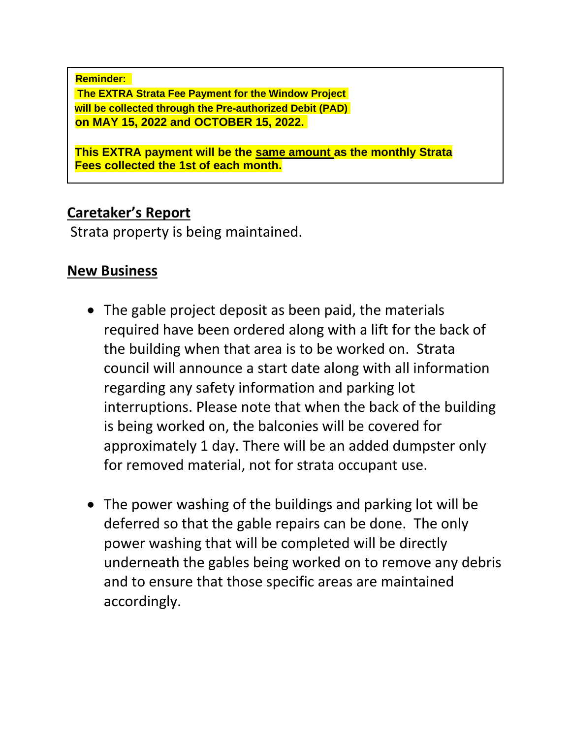**Reminder: The EXTRA Strata Fee Payment for the Window Project will be collected through the Pre-authorized Debit (PAD) on MAY 15, 2022 and OCTOBER 15, 2022.**

**This EXTRA payment will be the same amount as the monthly Strata Fees collected the 1st of each month.**

# **Caretaker's Report**

Strata property is being maintained.

# **New Business**

- The gable project deposit as been paid, the materials required have been ordered along with a lift for the back of the building when that area is to be worked on. Strata council will announce a start date along with all information regarding any safety information and parking lot interruptions. Please note that when the back of the building is being worked on, the balconies will be covered for approximately 1 day. There will be an added dumpster only for removed material, not for strata occupant use.
- The power washing of the buildings and parking lot will be deferred so that the gable repairs can be done. The only power washing that will be completed will be directly underneath the gables being worked on to remove any debris and to ensure that those specific areas are maintained accordingly.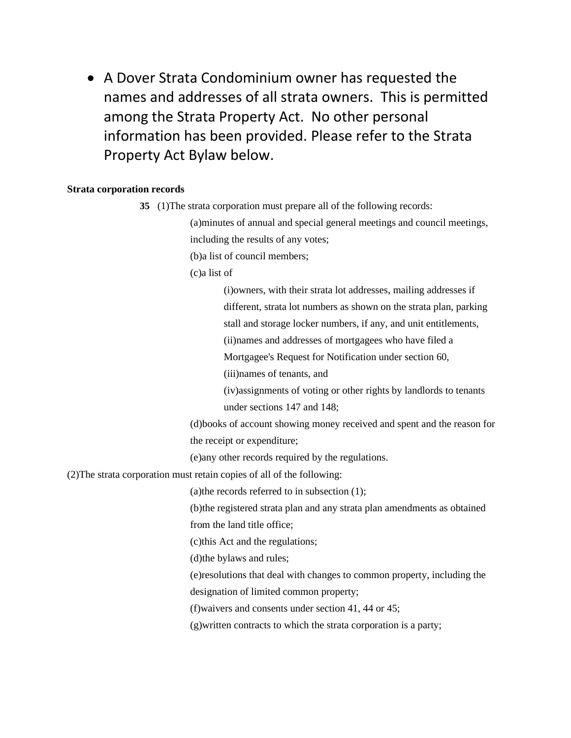• A Dover Strata Condominium owner has requested the names and addresses of all strata owners. This is permitted among the Strata Property Act. No other personal information has been provided. Please refer to the Strata Property Act Bylaw below.

#### **Strata corporation records**

**35** (1)The strata corporation must prepare all of the following records:

(a)minutes of annual and special general meetings and council meetings, including the results of any votes;

(b)a list of council members;

(c)a list of

(i)owners, with their strata lot addresses, mailing addresses if different, strata lot numbers as shown on the strata plan, parking

stall and storage locker numbers, if any, and unit entitlements,

(ii)names and addresses of mortgagees who have filed a

Mortgagee's Request for Notification under section 60,

(iii)names of tenants, and

(iv)assignments of voting or other rights by landlords to tenants under sections 147 and 148;

(d)books of account showing money received and spent and the reason for the receipt or expenditure;

(e)any other records required by the regulations.

(2)The strata corporation must retain copies of all of the following:

(a)the records referred to in subsection (1);

(b)the registered strata plan and any strata plan amendments as obtained from the land title office;

(c)this Act and the regulations;

(d)the bylaws and rules;

(e)resolutions that deal with changes to common property, including the

designation of limited common property;

(f)waivers and consents under section 41, 44 or 45;

(g)written contracts to which the strata corporation is a party;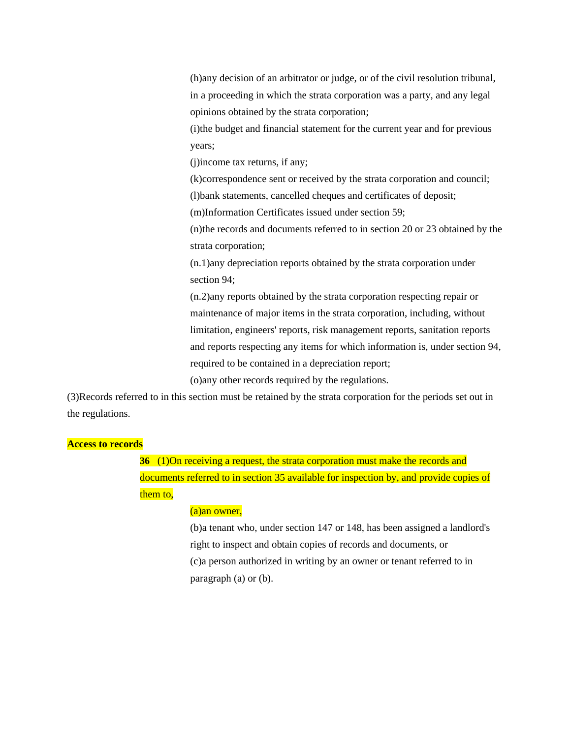(h)any decision of an arbitrator or judge, or of the civil resolution tribunal, in a proceeding in which the strata corporation was a party, and any legal opinions obtained by the strata corporation;

(i)the budget and financial statement for the current year and for previous years;

(j)income tax returns, if any;

(k)correspondence sent or received by the strata corporation and council;

(l)bank statements, cancelled cheques and certificates of deposit;

(m)Information Certificates issued under section 59;

(n)the records and documents referred to in section 20 or 23 obtained by the strata corporation;

(n.1)any depreciation reports obtained by the strata corporation under section 94;

(n.2)any reports obtained by the strata corporation respecting repair or maintenance of major items in the strata corporation, including, without limitation, engineers' reports, risk management reports, sanitation reports and reports respecting any items for which information is, under section 94, required to be contained in a depreciation report;

(o)any other records required by the regulations.

(3)Records referred to in this section must be retained by the strata corporation for the periods set out in the regulations.

#### **Access to records**

**36** (1)On receiving a request, the strata corporation must make the records and documents referred to in section 35 available for inspection by, and provide copies of them to.

#### (a)an owner,

(b)a tenant who, under section 147 or 148, has been assigned a landlord's right to inspect and obtain copies of records and documents, or (c)a person authorized in writing by an owner or tenant referred to in paragraph (a) or (b).